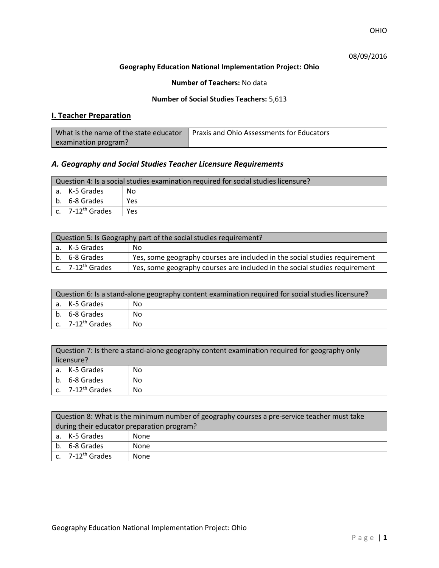OHIO

# 08/09/2016

### **Geography Education National Implementation Project: Ohio**

### **Number of Teachers:** No data

### **Number of Social Studies Teachers:** 5,613

# **I. Teacher Preparation**

| What is the name of the state educator | Praxis and Ohio Assessments for Educators |
|----------------------------------------|-------------------------------------------|
| examination program?                   |                                           |

# *A. Geography and Social Studies Teacher Licensure Requirements*

| Question 4: Is a social studies examination required for social studies licensure? |                       |     |
|------------------------------------------------------------------------------------|-----------------------|-----|
|                                                                                    | a. K-5 Grades         | Nο  |
|                                                                                    | b. 6-8 Grades         | Yes |
|                                                                                    | c. $7-12^{th}$ Grades | Yes |

| Question 5: Is Geography part of the social studies requirement? |                              |                                                                            |  |
|------------------------------------------------------------------|------------------------------|----------------------------------------------------------------------------|--|
|                                                                  | a. K-5 Grades                | -No                                                                        |  |
|                                                                  | l b. 6-8 Grades              | Yes, some geography courses are included in the social studies requirement |  |
|                                                                  | c. 7-12 <sup>th</sup> Grades | Yes, some geography courses are included in the social studies requirement |  |

| Question 6: Is a stand-alone geography content examination required for social studies licensure? |    |  |  |
|---------------------------------------------------------------------------------------------------|----|--|--|
| a. K-5 Grades                                                                                     | No |  |  |
| b. 6-8 Grades                                                                                     | No |  |  |
| c. 7-12 <sup>th</sup> Grades                                                                      | No |  |  |

| Question 7: Is there a stand-alone geography content examination required for geography only<br>licensure? |                       |    |
|------------------------------------------------------------------------------------------------------------|-----------------------|----|
|                                                                                                            | a. K-5 Grades         | No |
|                                                                                                            | b. 6-8 Grades         | No |
|                                                                                                            | c. $7-12^{th}$ Grades | No |

|                                            | Question 8: What is the minimum number of geography courses a pre-service teacher must take |      |  |
|--------------------------------------------|---------------------------------------------------------------------------------------------|------|--|
| during their educator preparation program? |                                                                                             |      |  |
|                                            | a. K-5 Grades                                                                               | None |  |
|                                            | b. 6-8 Grades                                                                               | None |  |
|                                            | $\vert$ c. $\vert$ 7-12 <sup>th</sup> Grades                                                | None |  |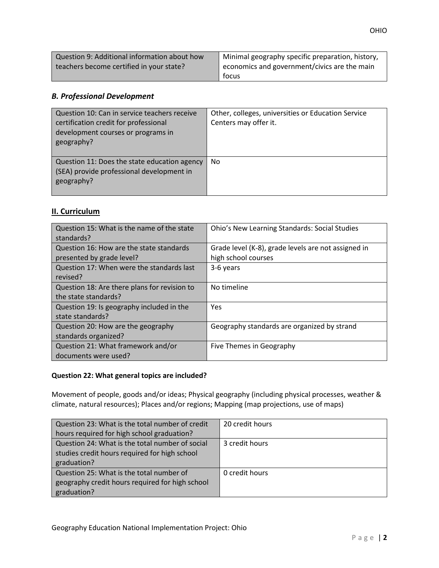| Question 9: Additional information about how | Minimal geography specific preparation, history,     |
|----------------------------------------------|------------------------------------------------------|
| teachers become certified in your state?     | $\vert$ economics and government/civics are the main |
|                                              | focus                                                |

# *B. Professional Development*

| Question 10: Can in service teachers receive<br>certification credit for professional<br>development courses or programs in<br>geography? | Other, colleges, universities or Education Service<br>Centers may offer it. |
|-------------------------------------------------------------------------------------------------------------------------------------------|-----------------------------------------------------------------------------|
| Question 11: Does the state education agency<br>(SEA) provide professional development in<br>geography?                                   | No                                                                          |

# **II. Curriculum**

| Question 15: What is the name of the state<br>standards?              | <b>Ohio's New Learning Standards: Social Studies</b>                       |
|-----------------------------------------------------------------------|----------------------------------------------------------------------------|
| Question 16: How are the state standards<br>presented by grade level? | Grade level (K-8), grade levels are not assigned in<br>high school courses |
| Question 17: When were the standards last<br>revised?                 | 3-6 years                                                                  |
| Question 18: Are there plans for revision to<br>the state standards?  | No timeline                                                                |
| Question 19: Is geography included in the<br>state standards?         | Yes                                                                        |
| Question 20: How are the geography<br>standards organized?            | Geography standards are organized by strand                                |
| Question 21: What framework and/or<br>documents were used?            | Five Themes in Geography                                                   |

### **Question 22: What general topics are included?**

Movement of people, goods and/or ideas; Physical geography (including physical processes, weather & climate, natural resources); Places and/or regions; Mapping (map projections, use of maps)

| Question 23: What is the total number of credit | 20 credit hours |
|-------------------------------------------------|-----------------|
| hours required for high school graduation?      |                 |
| Question 24: What is the total number of social | 3 credit hours  |
| studies credit hours required for high school   |                 |
| graduation?                                     |                 |
| Question 25: What is the total number of        | 0 credit hours  |
| geography credit hours required for high school |                 |
| graduation?                                     |                 |